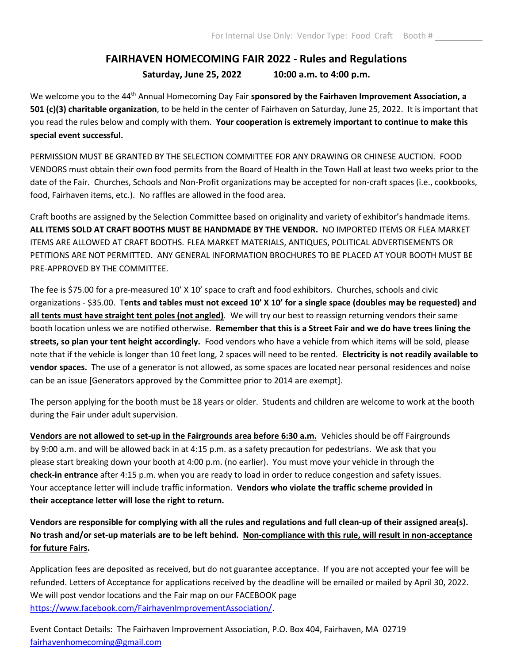## **FAIRHAVEN HOMECOMING FAIR 2022 - Rules and Regulations Saturday, June 25, 2022 10:00 a.m. to 4:00 p.m.**

We welcome you to the 44<sup>th</sup> Annual Homecoming Day Fair **sponsored by the Fairhaven Improvement Association, a 501 (c)(3) charitable organization**, to be held in the center of Fairhaven on Saturday, June 25, 2022. It is important that you read the rules below and comply with them. **Your cooperation is extremely important to continue to make this special event successful.**

PERMISSION MUST BE GRANTED BY THE SELECTION COMMITTEE FOR ANY DRAWING OR CHINESE AUCTION. FOOD VENDORS must obtain their own food permits from the Board of Health in the Town Hall at least two weeks prior to the date of the Fair. Churches, Schools and Non-Profit organizations may be accepted for non-craft spaces (i.e., cookbooks, food, Fairhaven items, etc.). No raffles are allowed in the food area.

Craft booths are assigned by the Selection Committee based on originality and variety of exhibitor's handmade items. **ALL ITEMS SOLD AT CRAFT BOOTHS MUST BE HANDMADE BY THE VENDOR.** NO IMPORTED ITEMS OR FLEA MARKET ITEMS ARE ALLOWED AT CRAFT BOOTHS. FLEA MARKET MATERIALS, ANTIQUES, POLITICAL ADVERTISEMENTS OR PETITIONS ARE NOT PERMITTED. ANY GENERAL INFORMATION BROCHURES TO BE PLACED AT YOUR BOOTH MUST BE PRE-APPROVED BY THE COMMITTEE.

The fee is \$75.00 for a pre-measured 10' X 10' space to craft and food exhibitors. Churches, schools and civic organizations - \$35.00. T**ents and tables must not exceed 10' X 10' for a single space (doubles may be requested) and all tents must have straight tent poles (not angled)***.* We will try our best to reassign returning vendors their same booth location unless we are notified otherwise. **Remember that this is a Street Fair and we do have trees lining the streets, so plan your tent height accordingly.** Food vendors who have a vehicle from which items will be sold, please note that if the vehicle is longer than 10 feet long, 2 spaces will need to be rented. **Electricity is not readily available to vendor spaces.** The use of a generator is not allowed, as some spaces are located near personal residences and noise can be an issue [Generators approved by the Committee prior to 2014 are exempt].

The person applying for the booth must be 18 years or older. Students and children are welcome to work at the booth during the Fair under adult supervision.

**Vendors are not allowed to set-up in the Fairgrounds area before 6:30 a.m.** Vehicles should be off Fairgrounds by 9:00 a.m. and will be allowed back in at 4:15 p.m. as a safety precaution for pedestrians. We ask that you please start breaking down your booth at 4:00 p.m. (no earlier). You must move your vehicle in through the **check-in entrance** after 4:15 p.m. when you are ready to load in order to reduce congestion and safety issues. Your acceptance letter will include traffic information. **Vendors who violate the traffic scheme provided in their acceptance letter will lose the right to return.**

**Vendors are responsible for complying with all the rules and regulations and full clean-up of their assigned area(s). No trash and/or set-up materials are to be left behind. Non-compliance with this rule, will result in non-acceptance for future Fairs.**

Application fees are deposited as received, but do not guarantee acceptance. If you are not accepted your fee will be refunded. Letters of Acceptance for applications received by the deadline will be emailed or mailed by April 30, 2022. We will post vendor locations and the Fair map on our FACEBOOK page [https://www.facebook.com/FairhavenImprovementAssociation/.](https://www.facebook.com/FairhavenImprovementAssociation/)

Event Contact Details: The Fairhaven Improvement Association, P.O. Box 404, Fairhaven, MA 02719 [fairhavenhomecoming@gmail.com](mailto:angeladawicki@gmail.com)